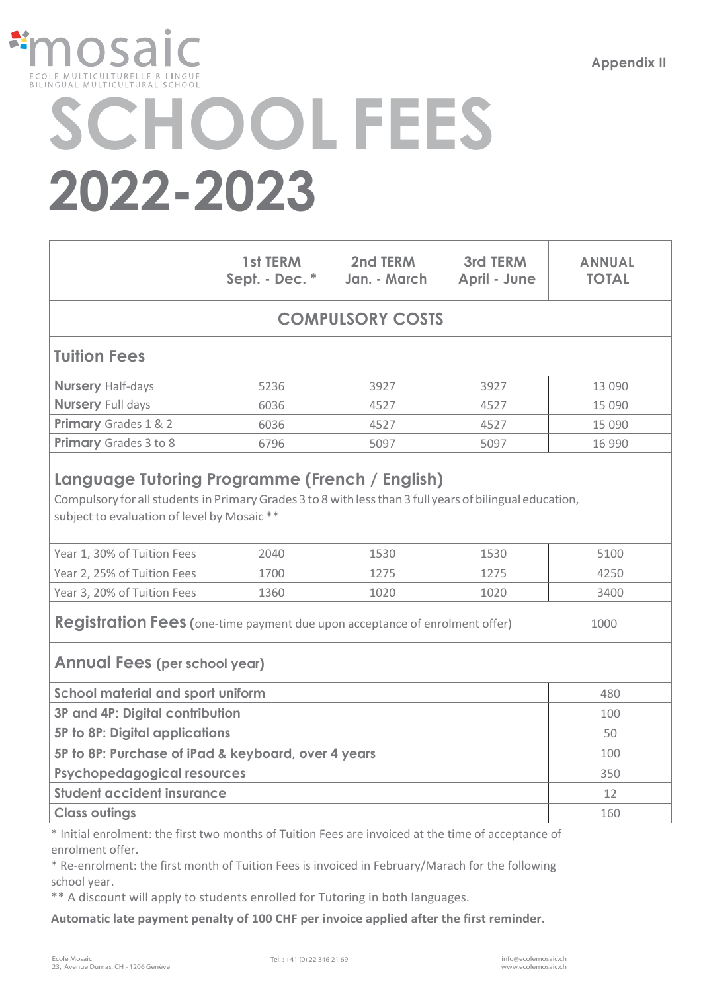**Appendix II**



# **SCHOOL FEES 2022-2023**

|                                                                                                                                                                                                                        | 1st TERM<br>Sept. - Dec. * | 2nd TERM<br>Jan. - March | 3rd TERM<br>April - June | <b>ANNUAL</b><br><b>TOTAL</b> |  |  |  |
|------------------------------------------------------------------------------------------------------------------------------------------------------------------------------------------------------------------------|----------------------------|--------------------------|--------------------------|-------------------------------|--|--|--|
| <b>COMPULSORY COSTS</b>                                                                                                                                                                                                |                            |                          |                          |                               |  |  |  |
| <b>Tuition Fees</b>                                                                                                                                                                                                    |                            |                          |                          |                               |  |  |  |
| <b>Nursery Half-days</b>                                                                                                                                                                                               | 5236                       | 3927                     | 3927                     | 13 090                        |  |  |  |
| <b>Nursery Full days</b>                                                                                                                                                                                               | 6036                       | 4527                     | 4527                     | 15 090                        |  |  |  |
| Primary Grades 1 & 2                                                                                                                                                                                                   | 6036                       | 4527                     | 4527                     | 15 090                        |  |  |  |
| Primary Grades 3 to 8                                                                                                                                                                                                  | 6796                       | 5097                     | 5097                     | 16 990                        |  |  |  |
| Compulsory for all students in Primary Grades 3 to 8 with less than 3 full years of bilingual education,<br>subject to evaluation of level by Mosaic **<br>Year 1, 30% of Tuition Fees<br>2040<br>1530<br>1530<br>5100 |                            |                          |                          |                               |  |  |  |
| Year 2, 25% of Tuition Fees                                                                                                                                                                                            | 1700                       | 1275                     | 1275                     | 4250                          |  |  |  |
| Year 3, 20% of Tuition Fees                                                                                                                                                                                            | 1360                       | 1020                     | 1020                     | 3400                          |  |  |  |
| <b>Registration Fees (</b> one-time payment due upon acceptance of enrolment offer)<br>1000<br><b>Annual Fees (per school year)</b>                                                                                    |                            |                          |                          |                               |  |  |  |
| <b>School material and sport uniform</b>                                                                                                                                                                               | 480                        |                          |                          |                               |  |  |  |
| 3P and 4P: Digital contribution                                                                                                                                                                                        | 100                        |                          |                          |                               |  |  |  |
| <b>5P to 8P: Digital applications</b>                                                                                                                                                                                  | 50                         |                          |                          |                               |  |  |  |
| 5P to 8P: Purchase of iPad & keyboard, over 4 years                                                                                                                                                                    | 100                        |                          |                          |                               |  |  |  |
| <b>Psychopedagogical resources</b>                                                                                                                                                                                     |                            |                          |                          | 350                           |  |  |  |
| <b>Student accident insurance</b>                                                                                                                                                                                      | 12                         |                          |                          |                               |  |  |  |
| <b>Class outings</b>                                                                                                                                                                                                   | 160                        |                          |                          |                               |  |  |  |

\* Initial enrolment: the first two months of Tuition Fees are invoiced at the time of acceptance of enrolment offer.

\* Re-enrolment: the first month of Tuition Fees is invoiced in February/Marach for the following school year.

\*\* A discount will apply to students enrolled for Tutoring in both languages.

**Automatic late payment penalty of 100 CHF per invoice applied after the first reminder.**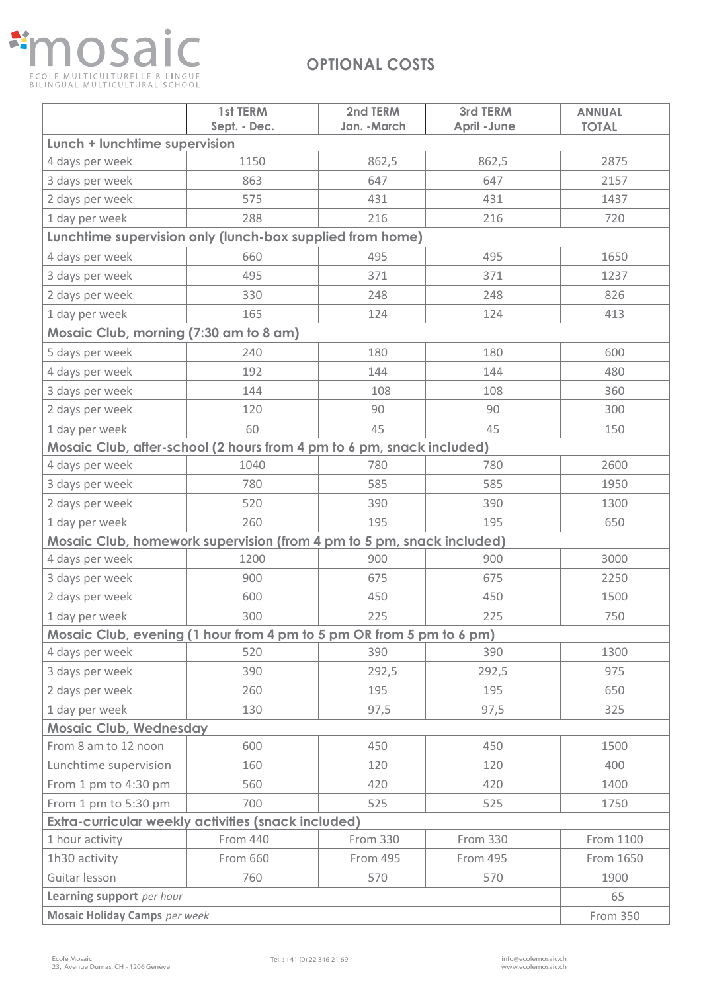## **nosaic** A. ECOLE MULTICULTURELLE BILINGUE<br>BILINGUAL MULTICULTURAL SCHOOL

### **OPTIONAL COSTS**

|                                                                       | 1st TERM<br>Sept. - Dec. | 2nd TERM<br>Jan. - March | 3rd TERM<br><b>April - June</b> | <b>ANNUAL</b> |  |  |
|-----------------------------------------------------------------------|--------------------------|--------------------------|---------------------------------|---------------|--|--|
| <b>TOTAL</b><br>Lunch + lunchtime supervision                         |                          |                          |                                 |               |  |  |
| 4 days per week                                                       | 1150                     | 862,5                    | 862,5                           | 2875          |  |  |
| 3 days per week                                                       | 863                      | 647                      | 647                             | 2157          |  |  |
| 2 days per week                                                       | 575                      | 431                      | 431                             | 1437          |  |  |
| 1 day per week                                                        | 288                      | 216                      | 216                             | 720           |  |  |
| Lunchtime supervision only (lunch-box supplied from home)             |                          |                          |                                 |               |  |  |
| 4 days per week                                                       | 660                      | 495                      | 495                             | 1650          |  |  |
| 3 days per week                                                       | 495                      | 371                      | 371                             | 1237          |  |  |
| 2 days per week                                                       | 330                      | 248                      | 248                             | 826           |  |  |
| 1 day per week                                                        | 165                      | 124                      | 124                             | 413           |  |  |
| Mosaic Club, morning (7:30 am to 8 am)                                |                          |                          |                                 |               |  |  |
| 5 days per week                                                       | 240                      | 180                      | 180                             | 600           |  |  |
| 4 days per week                                                       | 192                      | 144                      | 144                             | 480           |  |  |
| 3 days per week                                                       | 144                      | 108                      | 108                             | 360           |  |  |
| 2 days per week                                                       | 120                      | 90                       | 90                              | 300           |  |  |
| 1 day per week                                                        | 60                       | 45                       | 45                              | 150           |  |  |
| Mosaic Club, after-school (2 hours from 4 pm to 6 pm, snack included) |                          |                          |                                 |               |  |  |
| 4 days per week                                                       | 1040                     | 780                      | 780                             | 2600          |  |  |
| 3 days per week                                                       | 780                      | 585                      | 585                             | 1950          |  |  |
| 2 days per week                                                       | 520                      | 390                      | 390                             | 1300          |  |  |
| 1 day per week                                                        | 260                      | 195                      | 195                             | 650           |  |  |
| Mosaic Club, homework supervision (from 4 pm to 5 pm, snack included) |                          |                          |                                 |               |  |  |
| 4 days per week                                                       | 1200                     | 900                      | 900                             | 3000          |  |  |
| 3 days per week                                                       | 900                      | 675                      | 675                             | 2250          |  |  |
| 2 days per week                                                       | 600                      | 450                      | 450                             | 1500          |  |  |
| 1 day per week                                                        | 300                      | 225                      | 225                             | 750           |  |  |
| Mosaic Club, evening (1 hour from 4 pm to 5 pm OR from 5 pm to 6 pm)  |                          |                          |                                 |               |  |  |
| 4 days per week                                                       | 520                      | 390                      | 390                             | 1300          |  |  |
| 3 days per week                                                       | 390                      | 292,5                    | 292,5                           | 975           |  |  |
| 2 days per week                                                       | 260                      | 195                      | 195                             | 650           |  |  |
| 1 day per week                                                        | 130                      | 97,5                     | 97,5                            | 325           |  |  |
| <b>Mosaic Club, Wednesday</b>                                         |                          |                          |                                 |               |  |  |
| From 8 am to 12 noon                                                  | 600                      | 450                      | 450                             | 1500          |  |  |
| Lunchtime supervision                                                 | 160                      | 120                      | 120                             | 400           |  |  |
| From 1 pm to 4:30 pm                                                  | 560                      | 420                      | 420                             | 1400          |  |  |
| From 1 pm to 5:30 pm                                                  | 700                      | 525                      | 525                             | 1750          |  |  |
| Extra-curricular weekly activities (snack included)                   |                          |                          |                                 |               |  |  |
| 1 hour activity                                                       | From 440                 | From 330                 | <b>From 330</b>                 | From 1100     |  |  |
| 1h30 activity                                                         | From 660                 | From 495                 | From 495                        | From 1650     |  |  |
| Guitar lesson                                                         | 760                      | 570                      | 570                             | 1900          |  |  |
| Learning support per hour                                             | 65                       |                          |                                 |               |  |  |
| <b>Mosaic Holiday Camps</b> per week                                  |                          |                          |                                 | From 350      |  |  |